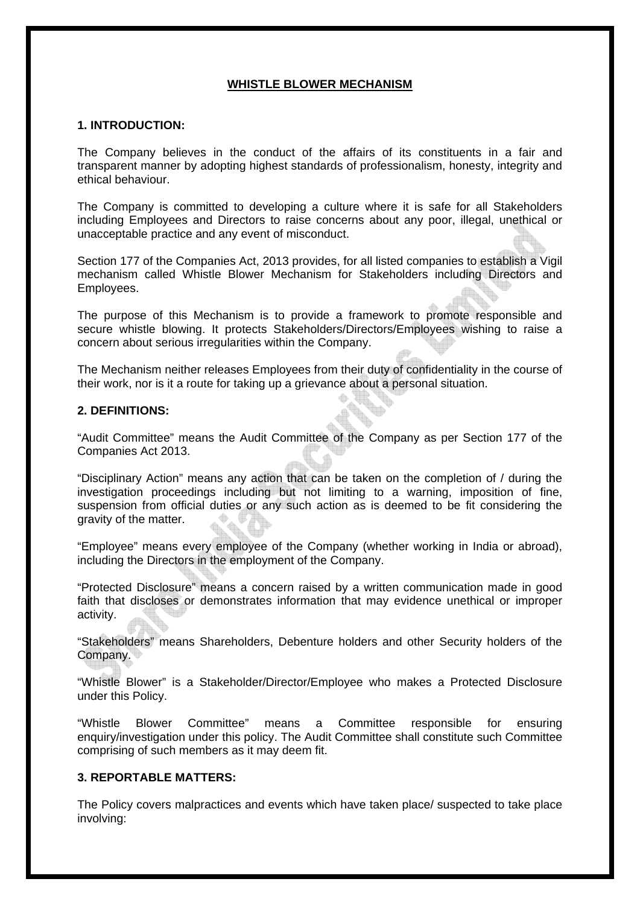#### **WHISTLE BLOWER MECHANISM**

#### **1. INTRODUCTION:**

The Company believes in the conduct of the affairs of its constituents in a fair and transparent manner by adopting highest standards of professionalism, honesty, integrity and ethical behaviour.

The Company is committed to developing a culture where it is safe for all Stakeholders including Employees and Directors to raise concerns about any poor, illegal, unethical or unacceptable practice and any event of misconduct.

Section 177 of the Companies Act, 2013 provides, for all listed companies to establish a Vigil mechanism called Whistle Blower Mechanism for Stakeholders including Directors and Employees.

The purpose of this Mechanism is to provide a framework to promote responsible and secure whistle blowing. It protects Stakeholders/Directors/Employees wishing to raise a concern about serious irregularities within the Company.

The Mechanism neither releases Employees from their duty of confidentiality in the course of their work, nor is it a route for taking up a grievance about a personal situation.

#### **2. DEFINITIONS:**

"Audit Committee" means the Audit Committee of the Company as per Section 177 of the Companies Act 2013.

"Disciplinary Action" means any action that can be taken on the completion of / during the investigation proceedings including but not limiting to a warning, imposition of fine, suspension from official duties or any such action as is deemed to be fit considering the gravity of the matter.

"Employee" means every employee of the Company (whether working in India or abroad), including the Directors in the employment of the Company.

"Protected Disclosure" means a concern raised by a written communication made in good faith that discloses or demonstrates information that may evidence unethical or improper activity.

"Stakeholders" means Shareholders, Debenture holders and other Security holders of the Company.

"Whistle Blower" is a Stakeholder/Director/Employee who makes a Protected Disclosure under this Policy.

"Whistle Blower Committee" means a Committee responsible for ensuring enquiry/investigation under this policy. The Audit Committee shall constitute such Committee comprising of such members as it may deem fit.

#### **3. REPORTABLE MATTERS:**

The Policy covers malpractices and events which have taken place/ suspected to take place involving: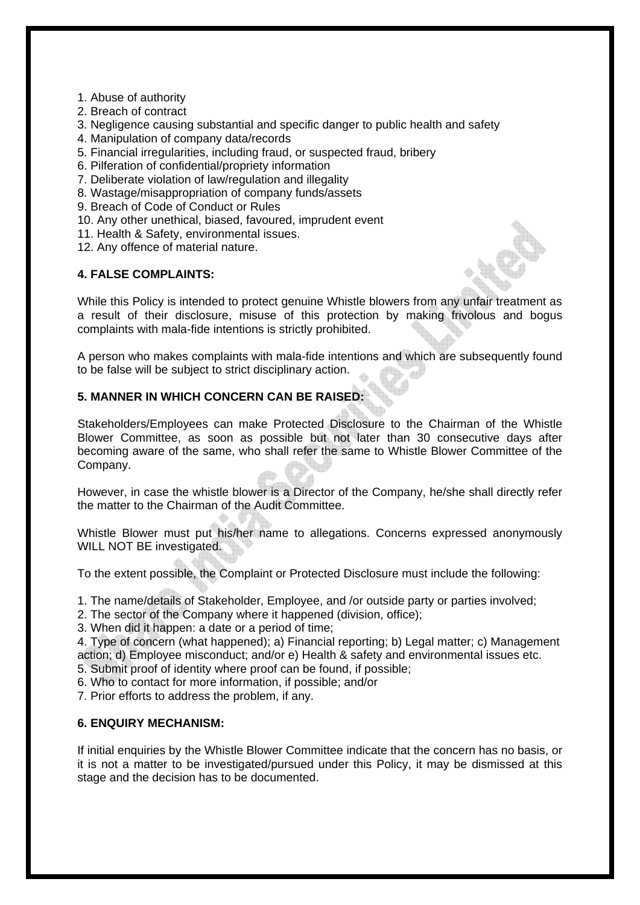1. Abuse of authority

- 2. Breach of contract
- 3. Negligence causing substantial and specific danger to public health and safety
- 4. Manipulation of company data/records
- 5. Financial irregularities, including fraud, or suspected fraud, bribery
- 6. Pilferation of confidential/propriety information
- 7. Deliberate violation of law/regulation and illegality
- 8. Wastage/misappropriation of company funds/assets
- 9. Breach of Code of Conduct or Rules
- 10. Any other unethical, biased, favoured, imprudent event
- 11. Health & Safety, environmental issues.
- 12. Any offence of material nature.

# **4. FALSE COMPLAINTS:**

While this Policy is intended to protect genuine Whistle blowers from any unfair treatment as a result of their disclosure, misuse of this protection by making frivolous and bogus complaints with mala-fide intentions is strictly prohibited.

A person who makes complaints with mala-fide intentions and which are subsequently found to be false will be subject to strict disciplinary action.

# **5. MANNER IN WHICH CONCERN CAN BE RAISED:**

Stakeholders/Employees can make Protected Disclosure to the Chairman of the Whistle Blower Committee, as soon as possible but not later than 30 consecutive days after becoming aware of the same, who shall refer the same to Whistle Blower Committee of the Company.

However, in case the whistle blower is a Director of the Company, he/she shall directly refer the matter to the Chairman of the Audit Committee.

Whistle Blower must put his/her name to allegations. Concerns expressed anonymously WILL NOT BE investigated.

To the extent possible, the Complaint or Protected Disclosure must include the following:

- 1. The name/details of Stakeholder, Employee, and /or outside party or parties involved;
- 2. The sector of the Company where it happened (division, office);

3. When did it happen: a date or a period of time;

4. Type of concern (what happened); a) Financial reporting; b) Legal matter; c) Management action; d) Employee misconduct; and/or e) Health & safety and environmental issues etc.

5. Submit proof of identity where proof can be found, if possible;

- 6. Who to contact for more information, if possible; and/or
- 7. Prior efforts to address the problem, if any.

# **6. ENQUIRY MECHANISM:**

If initial enquiries by the Whistle Blower Committee indicate that the concern has no basis, or it is not a matter to be investigated/pursued under this Policy, it may be dismissed at this stage and the decision has to be documented.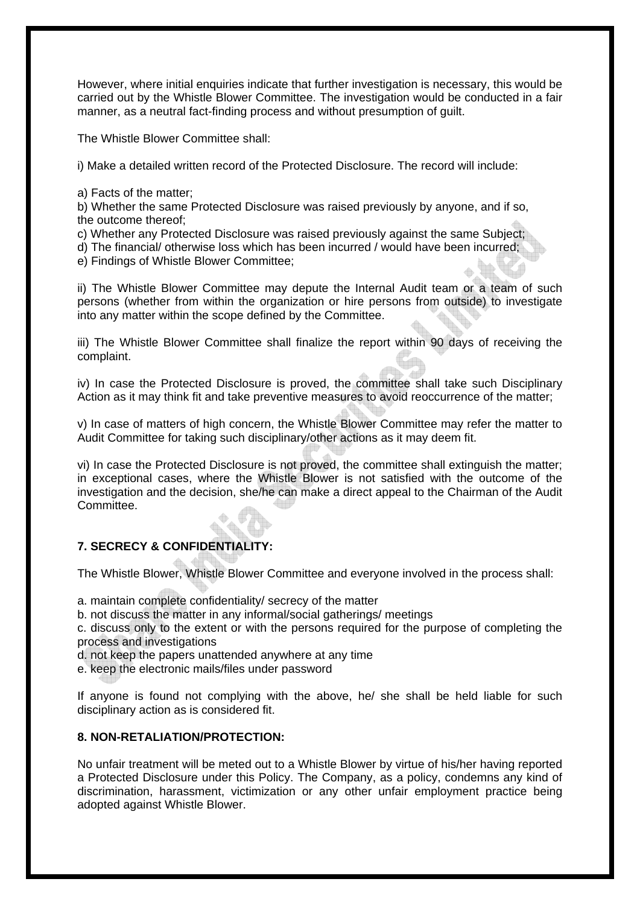However, where initial enquiries indicate that further investigation is necessary, this would be carried out by the Whistle Blower Committee. The investigation would be conducted in a fair manner, as a neutral fact-finding process and without presumption of guilt.

The Whistle Blower Committee shall:

i) Make a detailed written record of the Protected Disclosure. The record will include:

a) Facts of the matter;

b) Whether the same Protected Disclosure was raised previously by anyone, and if so, the outcome thereof;

- c) Whether any Protected Disclosure was raised previously against the same Subject;
- d) The financial/ otherwise loss which has been incurred / would have been incurred;
- e) Findings of Whistle Blower Committee;

ii) The Whistle Blower Committee may depute the Internal Audit team or a team of such persons (whether from within the organization or hire persons from outside) to investigate into any matter within the scope defined by the Committee.

iii) The Whistle Blower Committee shall finalize the report within 90 days of receiving the complaint.

iv) In case the Protected Disclosure is proved, the committee shall take such Disciplinary Action as it may think fit and take preventive measures to avoid reoccurrence of the matter;

v) In case of matters of high concern, the Whistle Blower Committee may refer the matter to Audit Committee for taking such disciplinary/other actions as it may deem fit.

vi) In case the Protected Disclosure is not proved, the committee shall extinguish the matter; in exceptional cases, where the Whistle Blower is not satisfied with the outcome of the investigation and the decision, she/he can make a direct appeal to the Chairman of the Audit Committee.

# **7. SECRECY & CONFIDENTIALITY:**

The Whistle Blower, Whistle Blower Committee and everyone involved in the process shall:

a. maintain complete confidentiality/ secrecy of the matter

b. not discuss the matter in any informal/social gatherings/ meetings

c. discuss only to the extent or with the persons required for the purpose of completing the process and investigations

d. not keep the papers unattended anywhere at any time

e. keep the electronic mails/files under password

If anyone is found not complying with the above, he/ she shall be held liable for such disciplinary action as is considered fit.

# **8. NON-RETALIATION/PROTECTION:**

No unfair treatment will be meted out to a Whistle Blower by virtue of his/her having reported a Protected Disclosure under this Policy. The Company, as a policy, condemns any kind of discrimination, harassment, victimization or any other unfair employment practice being adopted against Whistle Blower.